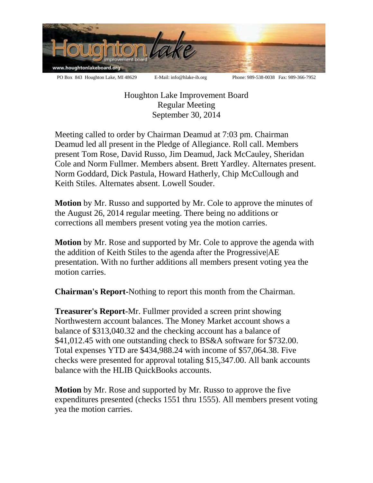

Houghton Lake Improvement Board Regular Meeting September 30, 2014

Meeting called to order by Chairman Deamud at 7:03 pm. Chairman Deamud led all present in the Pledge of Allegiance. Roll call. Members present Tom Rose, David Russo, Jim Deamud, Jack McCauley, Sheridan Cole and Norm Fullmer. Members absent. Brett Yardley. Alternates present. Norm Goddard, Dick Pastula, Howard Hatherly, Chip McCullough and Keith Stiles. Alternates absent. Lowell Souder.

**Motion** by Mr. Russo and supported by Mr. Cole to approve the minutes of the August 26, 2014 regular meeting. There being no additions or corrections all members present voting yea the motion carries.

**Motion** by Mr. Rose and supported by Mr. Cole to approve the agenda with the addition of Keith Stiles to the agenda after the Progressive|AE presentation. With no further additions all members present voting yea the motion carries.

**Chairman's Report-**Nothing to report this month from the Chairman.

**Treasurer's Report-**Mr. Fullmer provided a screen print showing Northwestern account balances. The Money Market account shows a balance of \$313,040.32 and the checking account has a balance of \$41,012.45 with one outstanding check to BS&A software for \$732.00. Total expenses YTD are \$434,988.24 with income of \$57,064.38. Five checks were presented for approval totaling \$15,347.00. All bank accounts balance with the HLIB QuickBooks accounts.

**Motion** by Mr. Rose and supported by Mr. Russo to approve the five expenditures presented (checks 1551 thru 1555). All members present voting yea the motion carries.